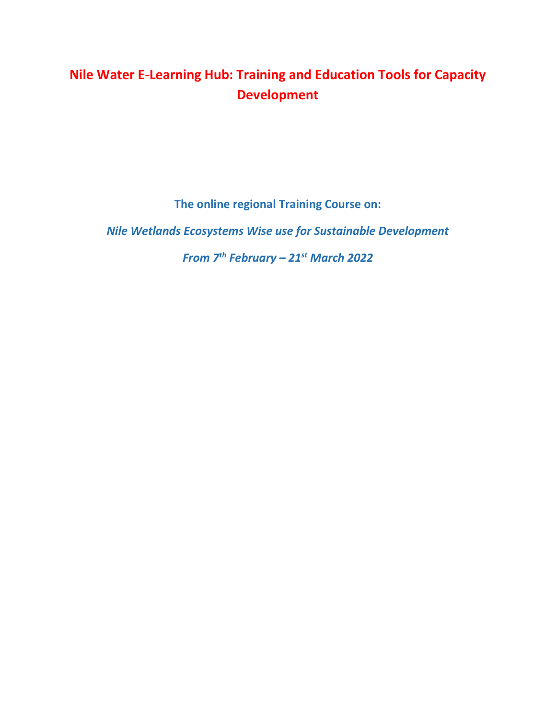# **Nile Water E-Learning Hub: Training and Education Tools for Capacity Development**

**The online regional Training Course on:**

*Nile Wetlands Ecosystems Wise use for Sustainable Development*

*From 7th February – 21st March 2022*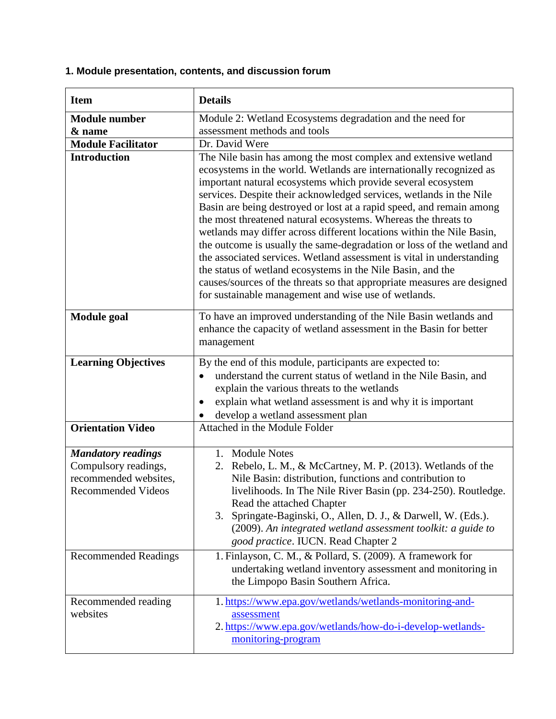# **1. Module presentation, contents, and discussion forum**

| <b>Item</b>                                                                                             | <b>Details</b>                                                                                                                                                                                                                                                                                                                                                                                                                                                                                                                                                                                                                                                                                                                                                                                                                                        |
|---------------------------------------------------------------------------------------------------------|-------------------------------------------------------------------------------------------------------------------------------------------------------------------------------------------------------------------------------------------------------------------------------------------------------------------------------------------------------------------------------------------------------------------------------------------------------------------------------------------------------------------------------------------------------------------------------------------------------------------------------------------------------------------------------------------------------------------------------------------------------------------------------------------------------------------------------------------------------|
| <b>Module number</b>                                                                                    | Module 2: Wetland Ecosystems degradation and the need for                                                                                                                                                                                                                                                                                                                                                                                                                                                                                                                                                                                                                                                                                                                                                                                             |
| & name                                                                                                  | assessment methods and tools                                                                                                                                                                                                                                                                                                                                                                                                                                                                                                                                                                                                                                                                                                                                                                                                                          |
| <b>Module Facilitator</b>                                                                               | Dr. David Were                                                                                                                                                                                                                                                                                                                                                                                                                                                                                                                                                                                                                                                                                                                                                                                                                                        |
| <b>Introduction</b>                                                                                     | The Nile basin has among the most complex and extensive wetland<br>ecosystems in the world. Wetlands are internationally recognized as<br>important natural ecosystems which provide several ecosystem<br>services. Despite their acknowledged services, wetlands in the Nile<br>Basin are being destroyed or lost at a rapid speed, and remain among<br>the most threatened natural ecosystems. Whereas the threats to<br>wetlands may differ across different locations within the Nile Basin,<br>the outcome is usually the same-degradation or loss of the wetland and<br>the associated services. Wetland assessment is vital in understanding<br>the status of wetland ecosystems in the Nile Basin, and the<br>causes/sources of the threats so that appropriate measures are designed<br>for sustainable management and wise use of wetlands. |
| <b>Module</b> goal                                                                                      | To have an improved understanding of the Nile Basin wetlands and<br>enhance the capacity of wetland assessment in the Basin for better<br>management                                                                                                                                                                                                                                                                                                                                                                                                                                                                                                                                                                                                                                                                                                  |
| <b>Learning Objectives</b>                                                                              | By the end of this module, participants are expected to:<br>understand the current status of wetland in the Nile Basin, and<br>explain the various threats to the wetlands<br>explain what wetland assessment is and why it is important<br>develop a wetland assessment plan                                                                                                                                                                                                                                                                                                                                                                                                                                                                                                                                                                         |
| <b>Orientation Video</b>                                                                                | Attached in the Module Folder                                                                                                                                                                                                                                                                                                                                                                                                                                                                                                                                                                                                                                                                                                                                                                                                                         |
| <b>Mandatory readings</b><br>Compulsory readings,<br>recommended websites,<br><b>Recommended Videos</b> | 1. Module Notes<br>2. Rebelo, L. M., & McCartney, M. P. (2013). Wetlands of the<br>Nile Basin: distribution, functions and contribution to<br>livelihoods. In The Nile River Basin (pp. 234-250). Routledge.<br>Read the attached Chapter<br>Springate-Baginski, O., Allen, D. J., & Darwell, W. (Eds.).<br>3.<br>(2009). An integrated wetland assessment toolkit: a guide to<br>good practice. IUCN. Read Chapter 2                                                                                                                                                                                                                                                                                                                                                                                                                                 |
| <b>Recommended Readings</b>                                                                             | 1. Finlayson, C. M., & Pollard, S. (2009). A framework for<br>undertaking wetland inventory assessment and monitoring in<br>the Limpopo Basin Southern Africa.                                                                                                                                                                                                                                                                                                                                                                                                                                                                                                                                                                                                                                                                                        |
| Recommended reading<br>websites                                                                         | 1. https://www.epa.gov/wetlands/wetlands-monitoring-and-<br>assessment<br>2. https://www.epa.gov/wetlands/how-do-i-develop-wetlands-<br>monitoring-program                                                                                                                                                                                                                                                                                                                                                                                                                                                                                                                                                                                                                                                                                            |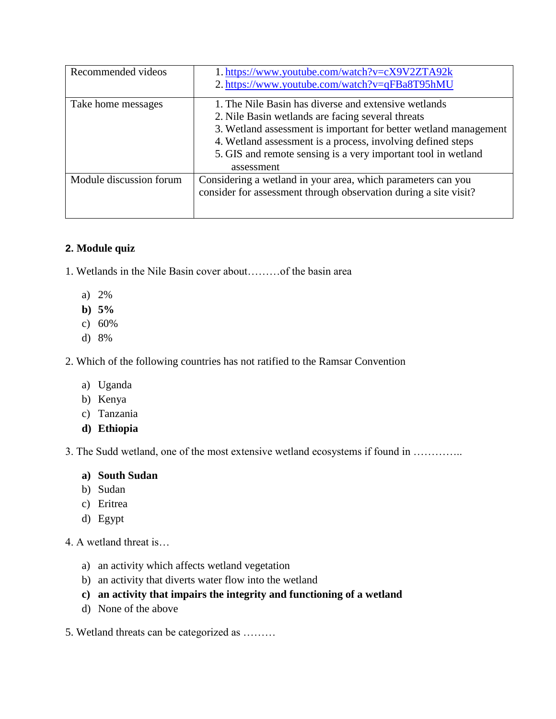| Recommended videos      | 1. https://www.youtube.com/watch?v=cX9V2ZTA92k<br>2. https://www.youtube.com/watch?v=qFBa8T95hMU                                                                                                                                                                                                                            |
|-------------------------|-----------------------------------------------------------------------------------------------------------------------------------------------------------------------------------------------------------------------------------------------------------------------------------------------------------------------------|
| Take home messages      | 1. The Nile Basin has diverse and extensive wetlands<br>2. Nile Basin wetlands are facing several threats<br>3. Wetland assessment is important for better wetland management<br>4. Wetland assessment is a process, involving defined steps<br>5. GIS and remote sensing is a very important tool in wetland<br>assessment |
| Module discussion forum | Considering a wetland in your area, which parameters can you<br>consider for assessment through observation during a site visit?                                                                                                                                                                                            |

#### **2. Module quiz**

- 1. Wetlands in the Nile Basin cover about………of the basin area
	- a) 2%
	- **b) 5%**
	- c) 60%
	- d) 8%

2. Which of the following countries has not ratified to the Ramsar Convention

- a) Uganda
- b) Kenya
- c) Tanzania
- **d) Ethiopia**

3. The Sudd wetland, one of the most extensive wetland ecosystems if found in …………..

#### **a) South Sudan**

- b) Sudan
- c) Eritrea
- d) Egypt
- 4. A wetland threat is…
	- a) an activity which affects wetland vegetation
	- b) an activity that diverts water flow into the wetland
	- **c) an activity that impairs the integrity and functioning of a wetland**
	- d) None of the above
- 5. Wetland threats can be categorized as ………